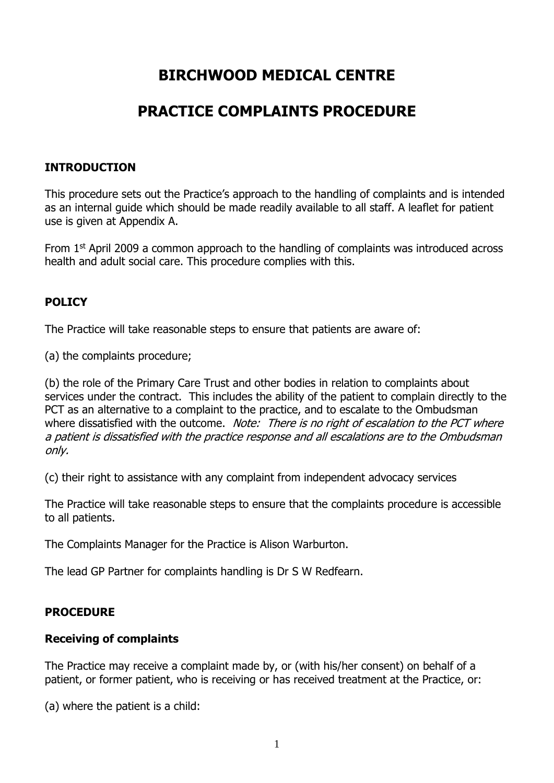# **BIRCHWOOD MEDICAL CENTRE**

# **PRACTICE COMPLAINTS PROCEDURE**

# **INTRODUCTION**

This procedure sets out the Practice's approach to the handling of complaints and is intended as an internal guide which should be made readily available to all staff. A leaflet for patient use is given at Appendix A.

From  $1<sup>st</sup>$  April 2009 a common approach to the handling of complaints was introduced across health and adult social care. This procedure complies with this.

## **POLICY**

The Practice will take reasonable steps to ensure that patients are aware of:

(a) the complaints procedure;

(b) the role of the Primary Care Trust and other bodies in relation to complaints about services under the contract. This includes the ability of the patient to complain directly to the PCT as an alternative to a complaint to the practice, and to escalate to the Ombudsman where dissatisfied with the outcome. Note: There is no right of escalation to the PCT where a patient is dissatisfied with the practice response and all escalations are to the Ombudsman only.

(c) their right to assistance with any complaint from independent advocacy services

The Practice will take reasonable steps to ensure that the complaints procedure is accessible to all patients.

The Complaints Manager for the Practice is Alison Warburton.

The lead GP Partner for complaints handling is Dr S W Redfearn.

# **PROCEDURE**

### **Receiving of complaints**

The Practice may receive a complaint made by, or (with his/her consent) on behalf of a patient, or former patient, who is receiving or has received treatment at the Practice, or:

(a) where the patient is a child: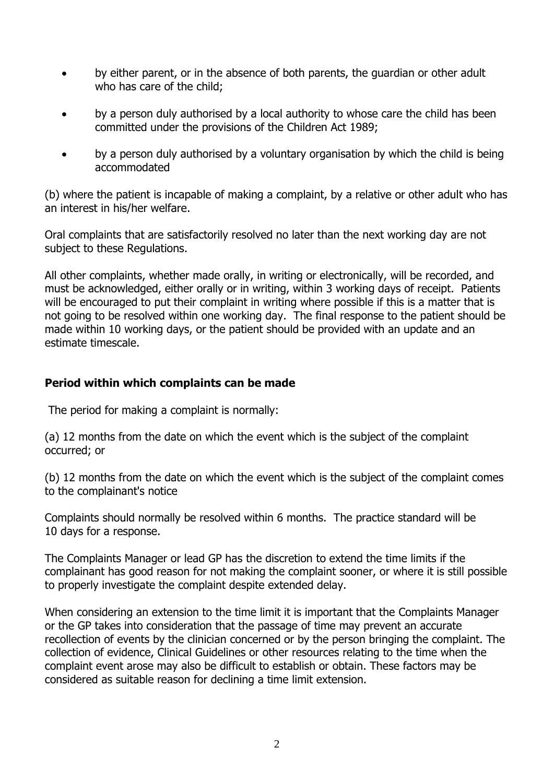- by either parent, or in the absence of both parents, the guardian or other adult who has care of the child;
- by a person duly authorised by a local authority to whose care the child has been committed under the provisions of the Children Act 1989;
- by a person duly authorised by a voluntary organisation by which the child is being accommodated

(b) where the patient is incapable of making a complaint, by a relative or other adult who has an interest in his/her welfare.

Oral complaints that are satisfactorily resolved no later than the next working day are not subject to these Regulations.

All other complaints, whether made orally, in writing or electronically, will be recorded, and must be acknowledged, either orally or in writing, within 3 working days of receipt. Patients will be encouraged to put their complaint in writing where possible if this is a matter that is not going to be resolved within one working day. The final response to the patient should be made within 10 working days, or the patient should be provided with an update and an estimate timescale.

## **Period within which complaints can be made**

The period for making a complaint is normally:

(a) 12 months from the date on which the event which is the subject of the complaint occurred; or

(b) 12 months from the date on which the event which is the subject of the complaint comes to the complainant's notice

Complaints should normally be resolved within 6 months. The practice standard will be 10 days for a response.

The Complaints Manager or lead GP has the discretion to extend the time limits if the complainant has good reason for not making the complaint sooner, or where it is still possible to properly investigate the complaint despite extended delay.

When considering an extension to the time limit it is important that the Complaints Manager or the GP takes into consideration that the passage of time may prevent an accurate recollection of events by the clinician concerned or by the person bringing the complaint. The collection of evidence, Clinical Guidelines or other resources relating to the time when the complaint event arose may also be difficult to establish or obtain. These factors may be considered as suitable reason for declining a time limit extension.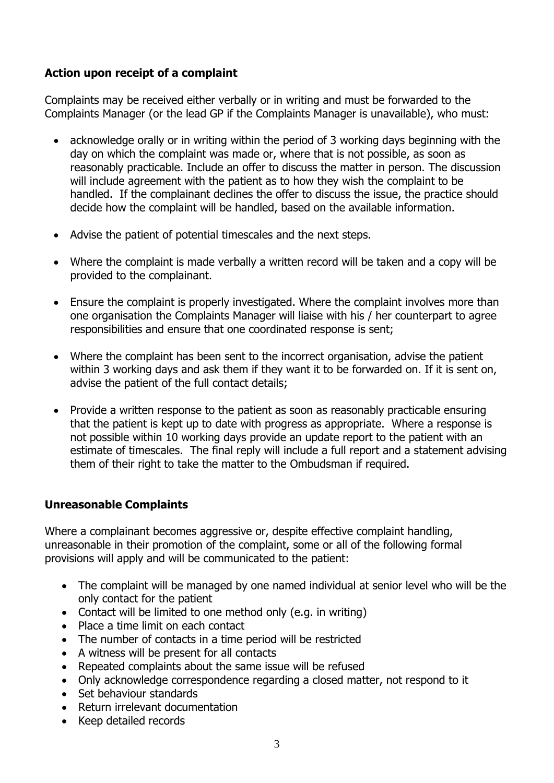# **Action upon receipt of a complaint**

Complaints may be received either verbally or in writing and must be forwarded to the Complaints Manager (or the lead GP if the Complaints Manager is unavailable), who must:

- acknowledge orally or in writing within the period of 3 working days beginning with the day on which the complaint was made or, where that is not possible, as soon as reasonably practicable. Include an offer to discuss the matter in person. The discussion will include agreement with the patient as to how they wish the complaint to be handled. If the complainant declines the offer to discuss the issue, the practice should decide how the complaint will be handled, based on the available information.
- Advise the patient of potential timescales and the next steps.
- Where the complaint is made verbally a written record will be taken and a copy will be provided to the complainant.
- Ensure the complaint is properly investigated. Where the complaint involves more than one organisation the Complaints Manager will liaise with his / her counterpart to agree responsibilities and ensure that one coordinated response is sent;
- Where the complaint has been sent to the incorrect organisation, advise the patient within 3 working days and ask them if they want it to be forwarded on. If it is sent on, advise the patient of the full contact details;
- Provide a written response to the patient as soon as reasonably practicable ensuring that the patient is kept up to date with progress as appropriate. Where a response is not possible within 10 working days provide an update report to the patient with an estimate of timescales. The final reply will include a full report and a statement advising them of their right to take the matter to the Ombudsman if required.

# **Unreasonable Complaints**

Where a complainant becomes aggressive or, despite effective complaint handling, unreasonable in their promotion of the complaint, some or all of the following formal provisions will apply and will be communicated to the patient:

- The complaint will be managed by one named individual at senior level who will be the only contact for the patient
- Contact will be limited to one method only (e.g. in writing)
- Place a time limit on each contact
- The number of contacts in a time period will be restricted
- A witness will be present for all contacts
- Repeated complaints about the same issue will be refused
- Only acknowledge correspondence regarding a closed matter, not respond to it
- Set behaviour standards
- Return irrelevant documentation
- Keep detailed records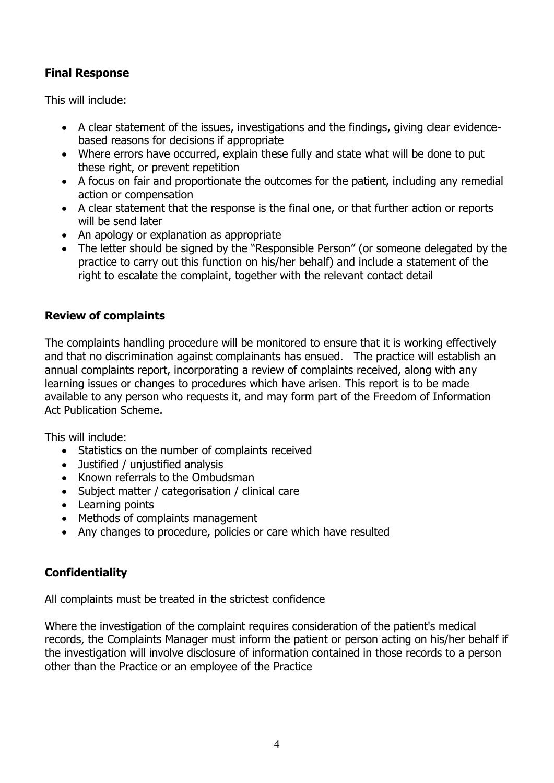# **Final Response**

This will include:

- A clear statement of the issues, investigations and the findings, giving clear evidencebased reasons for decisions if appropriate
- Where errors have occurred, explain these fully and state what will be done to put these right, or prevent repetition
- A focus on fair and proportionate the outcomes for the patient, including any remedial action or compensation
- A clear statement that the response is the final one, or that further action or reports will be send later
- An apology or explanation as appropriate
- The letter should be signed by the "Responsible Person" (or someone delegated by the practice to carry out this function on his/her behalf) and include a statement of the right to escalate the complaint, together with the relevant contact detail

# **Review of complaints**

The complaints handling procedure will be monitored to ensure that it is working effectively and that no discrimination against complainants has ensued. The practice will establish an annual complaints report, incorporating a review of complaints received, along with any learning issues or changes to procedures which have arisen. This report is to be made available to any person who requests it, and may form part of the Freedom of Information Act Publication Scheme.

This will include:

- Statistics on the number of complaints received
- Justified / unjustified analysis
- Known referrals to the Ombudsman
- Subject matter / categorisation / clinical care
- Learning points
- Methods of complaints management
- Any changes to procedure, policies or care which have resulted

# **Confidentiality**

All complaints must be treated in the strictest confidence

Where the investigation of the complaint requires consideration of the patient's medical records, the Complaints Manager must inform the patient or person acting on his/her behalf if the investigation will involve disclosure of information contained in those records to a person other than the Practice or an employee of the Practice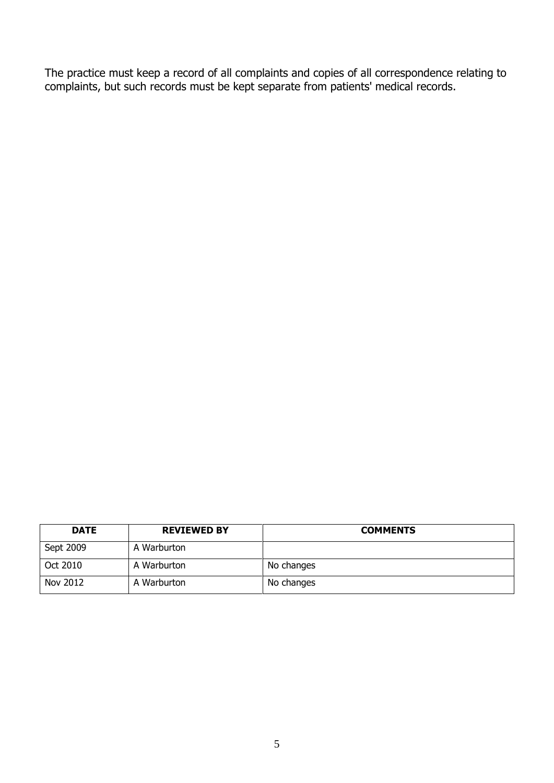The practice must keep a record of all complaints and copies of all correspondence relating to complaints, but such records must be kept separate from patients' medical records.

| <b>DATE</b> | <b>REVIEWED BY</b> | <b>COMMENTS</b> |
|-------------|--------------------|-----------------|
| Sept 2009   | A Warburton        |                 |
| Oct 2010    | A Warburton        | No changes      |
| Nov 2012    | A Warburton        | No changes      |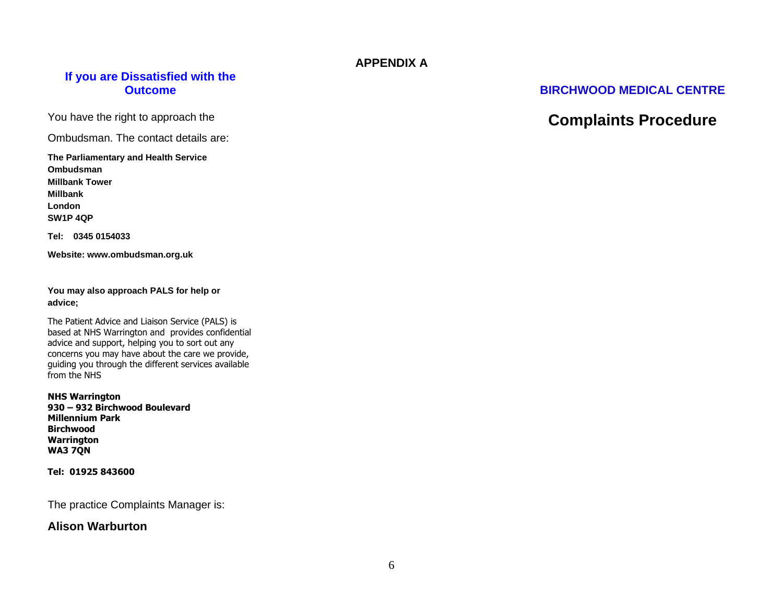### **APPENDIX A**

### **If you are Dissatisfied with the Outcome**

You have the right to approach the

Ombudsman. The contact details are:

#### **The Parliamentary and Health Service Ombudsman Millbank Tower Millbank London SW1P 4QP**

**Tel: 0345 0154033**

**Website: www.ombudsman.org.uk**

**You may also approach PALS for help or advice;**

The Patient Advice and Liaison Service (PALS) is based at NHS Warrington and provides confidential advice and support, helping you to sort out any concerns you may have about the care we provide, guiding you through the different services available from the NHS

**NHS Warrington 930 – 932 Birchwood Boulevard Millennium Park Birchwood Warrington WA3 7QN**

**Tel: 01925 843600**

The practice Complaints Manager is:

### **Alison Warburton**

### **BIRCHWOOD MEDICAL CENTRE**

# **Complaints Procedure**